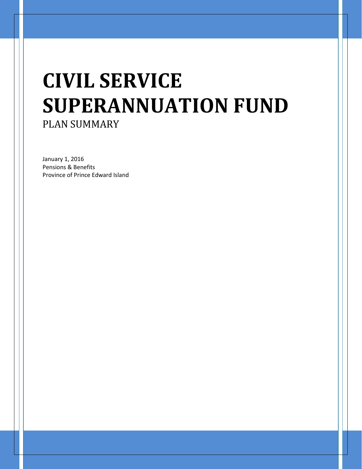# **CIVIL SERVICE SUPERANNUATION FUND** PLAN SUMMARY

January 1, 2016 Pensions & Benefits Province of Prince Edward Island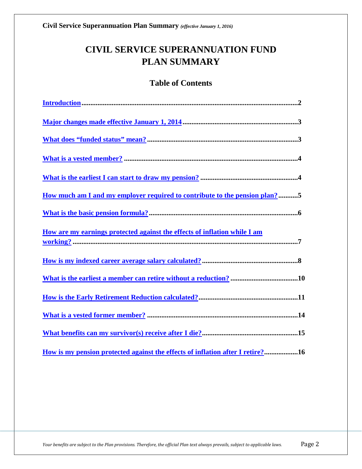# **CIVIL SERVICE SUPERANNUATION FUND PLAN SUMMARY**

### **Table of Contents**

| <u>How much am I and my employer required to contribute to the pension plan?</u> 5 |  |
|------------------------------------------------------------------------------------|--|
|                                                                                    |  |
| How are my earnings protected against the effects of inflation while I am          |  |
|                                                                                    |  |
|                                                                                    |  |
|                                                                                    |  |
|                                                                                    |  |
|                                                                                    |  |
| How is my pension protected against the effects of inflation after I retire?16     |  |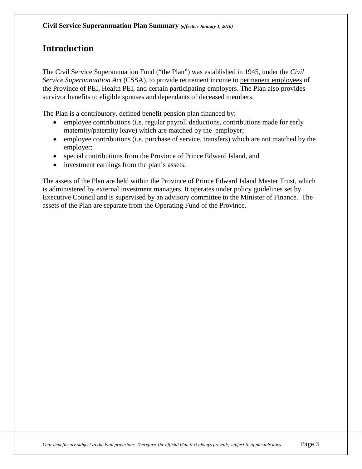# <span id="page-2-0"></span>**Introduction**

The Civil Service Superannuation Fund ("the Plan") was established in 1945, under the *Civil Service Superannuation Act* (CSSA), to provide retirement income to permanent employees of the Province of PEI, Health PEI, and certain participating employers. The Plan also provides survivor benefits to eligible spouses and dependants of deceased members.

The Plan is a contributory, defined benefit pension plan financed by:

- employee contributions (i.e. regular payroll deductions, contributions made for early maternity/paternity leave) which are matched by the employer;
- employee contributions (i.e. purchase of service, transfers) which are not matched by the employer;
- special contributions from the Province of Prince Edward Island, and
- investment earnings from the plan's assets.

The assets of the Plan are held within the Province of Prince Edward Island Master Trust, which is administered by external investment managers. It operates under policy guidelines set by Executive Council and is supervised by an advisory committee to the Minister of Finance. The assets of the Plan are separate from the Operating Fund of the Province.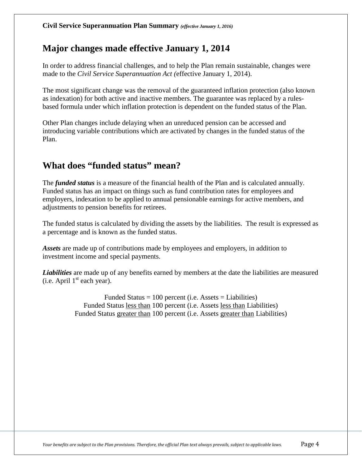# <span id="page-3-0"></span>**Major changes made effective January 1, 2014**

In order to address financial challenges, and to help the Plan remain sustainable, changes were made to the *Civil Service Superannuation Act (*effective January 1, 2014).

The most significant change was the removal of the guaranteed inflation protection (also known as indexation) for both active and inactive members. The guarantee was replaced by a rulesbased formula under which inflation protection is dependent on the funded status of the Plan.

Other Plan changes include delaying when an unreduced pension can be accessed and introducing variable contributions which are activated by changes in the funded status of the Plan.

# <span id="page-3-1"></span>**What does "funded status" mean?**

The *funded status* is a measure of the financial health of the Plan and is calculated annually. Funded status has an impact on things such as fund contribution rates for employees and employers, indexation to be applied to annual pensionable earnings for active members, and adjustments to pension benefits for retirees.

The funded status is calculated by dividing the assets by the liabilities. The result is expressed as a percentage and is known as the funded status.

*Assets* are made up of contributions made by employees and employers, in addition to investment income and special payments.

*Liabilities* are made up of any benefits earned by members at the date the liabilities are measured  $(i.e.$  April  $1<sup>st</sup>$  each year).

> Funded Status  $= 100$  percent (i.e. Assets  $=$  Liabilities) Funded Status less than 100 percent (i.e. Assets less than Liabilities) Funded Status greater than 100 percent (i.e. Assets greater than Liabilities)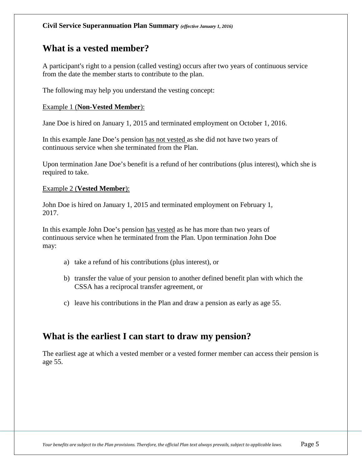### <span id="page-4-0"></span>**What is a vested member?**

A participant's right to a pension (called vesting) occurs after two years of continuous service from the date the member starts to contribute to the plan.

The following may help you understand the vesting concept:

#### Example 1 (**Non-Vested Member**):

Jane Doe is hired on January 1, 2015 and terminated employment on October 1, 2016.

In this example Jane Doe's pension has not vested as she did not have two years of continuous service when she terminated from the Plan.

Upon termination Jane Doe's benefit is a refund of her contributions (plus interest), which she is required to take.

#### Example 2 (**Vested Member**):

John Doe is hired on January 1, 2015 and terminated employment on February 1, 2017.

In this example John Doe's pension has vested as he has more than two years of continuous service when he terminated from the Plan. Upon termination John Doe may:

- a) take a refund of his contributions (plus interest), or
- b) transfer the value of your pension to another defined benefit plan with which the CSSA has a reciprocal transfer agreement, or
- c) leave his contributions in the Plan and draw a pension as early as age 55.

### <span id="page-4-1"></span>**What is the earliest I can start to draw my pension?**

The earliest age at which a vested member or a vested former member can access their pension is age 55.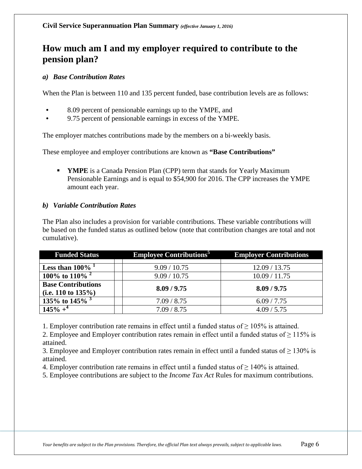# <span id="page-5-0"></span>**How much am I and my employer required to contribute to the pension plan?**

#### *a) Base Contribution Rates*

When the Plan is between 110 and 135 percent funded, base contribution levels are as follows:

- 8.09 percent of pensionable earnings up to the YMPE, and
- 9.75 percent of pensionable earnings in excess of the YMPE.

The employer matches contributions made by the members on a bi-weekly basis.

These employee and employer contributions are known as **"Base Contributions"**

**YMPE** is a Canada Pension Plan (CPP) term that stands for Yearly Maximum Pensionable Earnings and is equal to \$54,900 for 2016. The CPP increases the YMPE amount each year.

#### *b) Variable Contribution Rates*

The Plan also includes a provision for variable contributions. These variable contributions will be based on the funded status as outlined below (note that contribution changes are total and not cumulative).

| <b>Funded Status</b>             | <b>Employee Contributions</b> <sup>5</sup> | <b>Employer Contributions</b> |
|----------------------------------|--------------------------------------------|-------------------------------|
|                                  |                                            |                               |
| Less than $100\%$ <sup>1</sup>   | 9.09 / 10.75                               | 12.09 / 13.75                 |
| 100\% to 110\% $^{2}$            | 9.09 / 10.75                               | 10.09 / 11.75                 |
| <b>Base Contributions</b>        | 8.09 / 9.75                                | 8.09 / 9.75                   |
| (i.e. 110 to $135\%$ )           |                                            |                               |
| 135\% to 145\% $3\frac{135}{10}$ | 7.09 / 8.75                                | 6.09 / 7.75                   |
| $145% +$                         | 7.09 / 8.75                                | 4.09 / 5.75                   |

1. Employer contribution rate remains in effect until a funded status of  $\geq 105\%$  is attained.

2. Employee and Employer contribution rates remain in effect until a funded status of  $\geq 115\%$  is attained.

3. Employee and Employer contribution rates remain in effect until a funded status of  $\geq 130\%$  is attained.

4. Employer contribution rate remains in effect until a funded status of  $\geq 140\%$  is attained.

5. Employee contributions are subject to the *Income Tax Act* Rules for maximum contributions.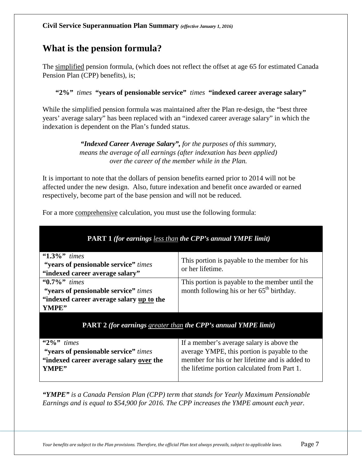### <span id="page-6-0"></span>**What is the pension formula?**

The simplified pension formula, (which does not reflect the offset at age 65 for estimated Canada Pension Plan (CPP) benefits), is;

**"2%"** *times* **"years of pensionable service"** *times* **"indexed career average salary"**

While the simplified pension formula was maintained after the Plan re-design, the "best three years' average salary" has been replaced with an "indexed career average salary" in which the indexation is dependent on the Plan's funded status.

> *"Indexed Career Average Salary", for the purposes of this summary, means the average of all earnings (after indexation has been applied) over the career of the member while in the Plan.*

It is important to note that the dollars of pension benefits earned prior to 2014 will not be affected under the new design. Also, future indexation and benefit once awarded or earned respectively, become part of the base pension and will not be reduced.

For a more comprehensive calculation, you must use the following formula:

| <b>PART 1</b> (for earnings less than the CPP's annual YMPE limit)                                                       |                                                                                                                                                                                             |  |
|--------------------------------------------------------------------------------------------------------------------------|---------------------------------------------------------------------------------------------------------------------------------------------------------------------------------------------|--|
| $\cdot 1.3\%$ " times<br>"years of pensionable service" times<br>"indexed career average salary"                         | This portion is payable to the member for his<br>or her lifetime.                                                                                                                           |  |
| $\cdot 0.7\%$ " times<br>"years of pensionable service" times<br>"indexed career average salary up to the<br>YMPE"       | This portion is payable to the member until the<br>month following his or her 65 <sup>th</sup> birthday.                                                                                    |  |
|                                                                                                                          | <b>PART 2 (for earnings greater than the CPP's annual YMPE limit)</b>                                                                                                                       |  |
| $\frac{420}{s}$ times<br>"years of pensionable service" times<br>"indexed career average salary over the<br><b>YMPE"</b> | If a member's average salary is above the<br>average YMPE, this portion is payable to the<br>member for his or her lifetime and is added to<br>the lifetime portion calculated from Part 1. |  |

*"YMPE" is a Canada Pension Plan (CPP) term that stands for Yearly Maximum Pensionable Earnings and is equal to \$54,900 for 2016. The CPP increases the YMPE amount each year.*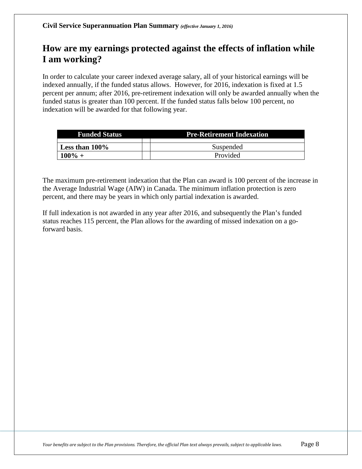# <span id="page-7-0"></span>**How are my earnings protected against the effects of inflation while I am working?**

In order to calculate your career indexed average salary, all of your historical earnings will be indexed annually, if the funded status allows. However, for 2016, indexation is fixed at 1.5 percent per annum; after 2016, pre-retirement indexation will only be awarded annually when the funded status is greater than 100 percent. If the funded status falls below 100 percent, no indexation will be awarded for that following year.

| <b>Funded Status</b> | <b>Pre-Retirement Indexation</b> |  |
|----------------------|----------------------------------|--|
|                      |                                  |  |
| Less than $100\%$    | Suspended                        |  |
| $100\% +$            | Provided                         |  |

The maximum pre-retirement indexation that the Plan can award is 100 percent of the increase in the Average Industrial Wage (AIW) in Canada. The minimum inflation protection is zero percent, and there may be years in which only partial indexation is awarded.

If full indexation is not awarded in any year after 2016, and subsequently the Plan's funded status reaches 115 percent, the Plan allows for the awarding of missed indexation on a goforward basis.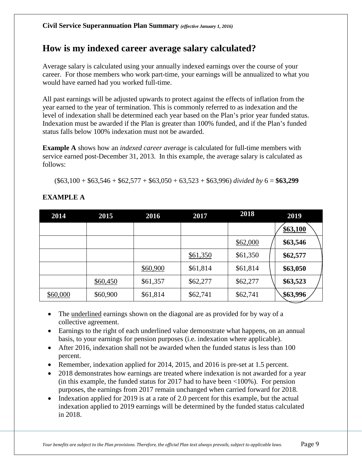# <span id="page-8-0"></span>**How is my indexed career average salary calculated?**

Average salary is calculated using your annually indexed earnings over the course of your career. For those members who work part-time, your earnings will be annualized to what you would have earned had you worked full-time.

All past earnings will be adjusted upwards to protect against the effects of inflation from the year earned to the year of termination. This is commonly referred to as indexation and the level of indexation shall be determined each year based on the Plan's prior year funded status. Indexation must be awarded if the Plan is greater than 100% funded, and if the Plan's funded status falls below 100% indexation must not be awarded.

**Example A** shows how an *indexed career average* is calculated for full-time members with service earned post-December 31, 2013. In this example, the average salary is calculated as follows:

(\$63,100 + \$63,546 + \$62,577 + \$63,050 + 63,523 + \$63,996) *divided by* 6 = **\$63,299**

| 2014     | 2015     | 2016     | 2017     | 2018     | 2019     |
|----------|----------|----------|----------|----------|----------|
|          |          |          |          |          | \$63,100 |
|          |          |          |          | \$62,000 | \$63,546 |
|          |          |          | \$61,350 | \$61,350 | \$62,577 |
|          |          | \$60,900 | \$61,814 | \$61,814 | \$63,050 |
|          | \$60,450 | \$61,357 | \$62,277 | \$62,277 | \$63,523 |
| \$60,000 | \$60,900 | \$61,814 | \$62,741 | \$62,741 | \$63,996 |

#### **EXAMPLE A**

- The underlined earnings shown on the diagonal are as provided for by way of a collective agreement.
- Earnings to the right of each underlined value demonstrate what happens, on an annual basis, to your earnings for pension purposes (i.e. indexation where applicable).
- After 2016, indexation shall not be awarded when the funded status is less than 100 percent.
- Remember, indexation applied for 2014, 2015, and 2016 is pre-set at 1.5 percent.
- 2018 demonstrates how earnings are treated where indexation is not awarded for a year (in this example, the funded status for 2017 had to have been  $<100\%$ ). For pension purposes, the earnings from 2017 remain unchanged when carried forward for 2018.
- Indexation applied for 2019 is at a rate of 2.0 percent for this example, but the actual indexation applied to 2019 earnings will be determined by the funded status calculated in 2018.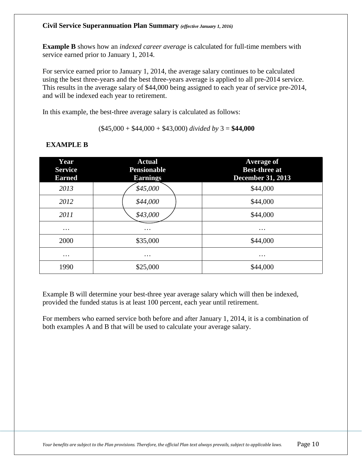#### **Civil Service Superannuation Plan Summary** *(effective January 1, 2016)*

**Example B** shows how an *indexed career average* is calculated for full-time members with service earned prior to January 1, 2014.

For service earned prior to January 1, 2014, the average salary continues to be calculated using the best three-years and the best three-years average is applied to all pre-2014 service. This results in the average salary of \$44,000 being assigned to each year of service pre-2014, and will be indexed each year to retirement.

In this example, the best-three average salary is calculated as follows:

(\$45,000 + \$44,000 + \$43,000) *divided by* 3 = **\$44,000**

| Year<br><b>Service</b><br><b>Earned</b> | <b>Actual</b><br><b>Pensionable</b><br><b>Earnings</b> | <b>Average of</b><br><b>Best-three at</b><br><b>December 31, 2013</b> |
|-----------------------------------------|--------------------------------------------------------|-----------------------------------------------------------------------|
| 2013                                    | \$45,000                                               | \$44,000                                                              |
| 2012                                    | \$44,000                                               | \$44,000                                                              |
| 2011                                    | \$43,000                                               | \$44,000                                                              |
| $\cdots$                                | $\cdots$                                               | $\cdots$                                                              |
| 2000                                    | \$35,000                                               | \$44,000                                                              |
| $\cdots$                                | $\cdots$                                               | $\cdots$                                                              |
| 1990                                    | \$25,000                                               | \$44,000                                                              |

#### **EXAMPLE B**

Example B will determine your best-three year average salary which will then be indexed, provided the funded status is at least 100 percent, each year until retirement.

For members who earned service both before and after January 1, 2014, it is a combination of both examples A and B that will be used to calculate your average salary.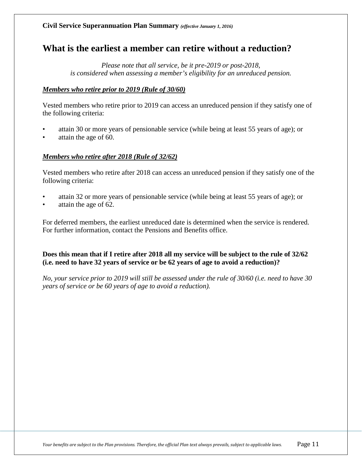### <span id="page-10-0"></span>**What is the earliest a member can retire without a reduction?**

*Please note that all service, be it pre-2019 or post-2018, is considered when assessing a member's eligibility for an unreduced pension.*

#### *Members who retire prior to 2019 (Rule of 30/60)*

Vested members who retire prior to 2019 can access an unreduced pension if they satisfy one of the following criteria:

- attain 30 or more years of pensionable service (while being at least 55 years of age); or
- attain the age of 60.

#### *Members who retire after 2018 (Rule of 32/62)*

Vested members who retire after 2018 can access an unreduced pension if they satisfy one of the following criteria:

- attain 32 or more years of pensionable service (while being at least 55 years of age); or
- attain the age of 62.

For deferred members, the earliest unreduced date is determined when the service is rendered. For further information, contact the Pensions and Benefits office.

**Does this mean that if I retire after 2018 all my service will be subject to the rule of 32/62 (i.e. need to have 32 years of service or be 62 years of age to avoid a reduction)?**

*No, your service prior to 2019 will still be assessed under the rule of 30/60 (i.e. need to have 30 years of service or be 60 years of age to avoid a reduction).*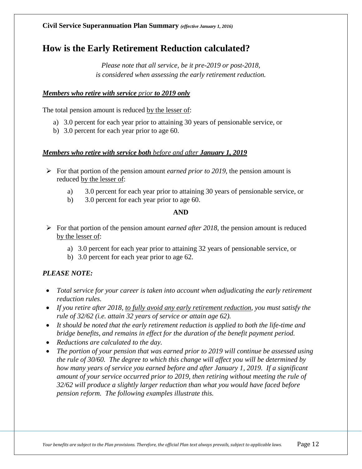### <span id="page-11-0"></span>**How is the Early Retirement Reduction calculated?**

*Please note that all service, be it pre-2019 or post-2018, is considered when assessing the early retirement reduction.*

#### *Members who retire with service prior to 2019 only*

The total pension amount is reduced by the lesser of:

- a) 3.0 percent for each year prior to attaining 30 years of pensionable service, or
- b) 3.0 percent for each year prior to age 60.

#### *Members who retire with service both before and after January 1, 2019*

- $\triangleright$  For that portion of the pension amount *earned prior to 2019*, the pension amount is reduced by the lesser of:
	- a) 3.0 percent for each year prior to attaining 30 years of pensionable service, or
	- b) 3.0 percent for each year prior to age 60.

#### **AND**

- For that portion of the pension amount *earned after 2018*, the pension amount is reduced by the lesser of:
	- a) 3.0 percent for each year prior to attaining 32 years of pensionable service, or
	- b) 3.0 percent for each year prior to age 62.

#### *PLEASE NOTE:*

- *Total service for your career is taken into account when adjudicating the early retirement reduction rules.*
- *If you retire after 2018, to fully avoid any early retirement reduction, you must satisfy the rule of 32/62 (i.e. attain 32 years of service or attain age 62).*
- *It should be noted that the early retirement reduction is applied to both the life-time and bridge benefits, and remains in effect for the duration of the benefit payment period.*
- *Reductions are calculated to the day.*
- *The portion of your pension that was earned prior to 2019 will continue be assessed using the rule of 30/60. The degree to which this change will affect you will be determined by how many years of service you earned before and after January 1, 2019. If a significant amount of your service occurred prior to 2019, then retiring without meeting the rule of 32/62 will produce a slightly larger reduction than what you would have faced before pension reform. The following examples illustrate this.*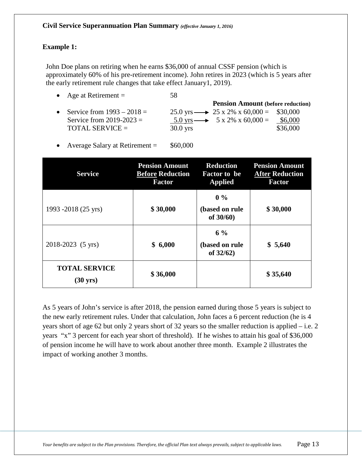#### **Example 1:**

John Doe plans on retiring when he earns \$36,000 of annual CSSF pension (which is approximately 60% of his pre-retirement income). John retires in 2023 (which is 5 years after the early retirement rule changes that take effect January1, 2019).

- Age at Retirement  $=$  58
- **Pension Amount (before reduction)** Service from  $1993 - 2018 = 25.0$  yrs  $\rightarrow 25$  x 2% x 60,000 = \$30,000 Service from 2019-2023 =  $5.0 \text{ yrs} \rightarrow 5 \text{ x } 2\% \text{ x } 60,000 = $6,000$  $\text{TOTAL}$  SERVICE =  $\qquad 30.0 \text{ yrs}$  \$36,000
- Average Salary at Retirement  $=$  \$60,000

| <b>Service</b>                             | <b>Pension Amount</b><br><b>Before Reduction</b><br><b>Factor</b> | <b>Reduction</b><br><b>Factor to be</b><br><b>Applied</b> | <b>Pension Amount</b><br><b>After Reduction</b><br><b>Factor</b> |
|--------------------------------------------|-------------------------------------------------------------------|-----------------------------------------------------------|------------------------------------------------------------------|
| 1993 -2018 (25 yrs)                        | \$30,000                                                          | $0\%$<br>(based on rule<br>of 30/60)                      | \$30,000                                                         |
| 2018-2023 (5 yrs)                          | \$6,000                                                           | $6\%$<br>(based on rule<br>of $32/62$ )                   | \$5,640                                                          |
| <b>TOTAL SERVICE</b><br>$(30 \text{ yrs})$ | \$36,000                                                          |                                                           | \$35,640                                                         |

As 5 years of John's service is after 2018, the pension earned during those 5 years is subject to the new early retirement rules. Under that calculation, John faces a 6 percent reduction (he is 4 years short of age 62 but only 2 years short of 32 years so the smaller reduction is applied – i.e. 2 years "x" 3 percent for each year short of threshold). If he wishes to attain his goal of \$36,000 of pension income he will have to work about another three month. Example 2 illustrates the impact of working another 3 months.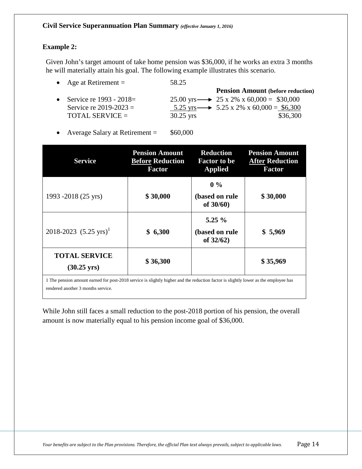#### **Example 2:**

Given John's target amount of take home pension was \$36,000, if he works an extra 3 months he will materially attain his goal. The following example illustrates this scenario.

| • Age at Retirement $=$      | 58.25       |                                                         |
|------------------------------|-------------|---------------------------------------------------------|
|                              |             | <b>Pension Amount (before reduction)</b>                |
| • Service re $1993 - 2018 =$ |             | 25.00 yrs $\longrightarrow$ 25 x 2% x 60,000 = \$30,000 |
| Service re $2019 - 2023 =$   |             | 5.25 yrs $\longrightarrow$ 5.25 x 2% x 60,000 = \$6,300 |
| <b>TOTAL SERVICE =</b>       | $30.25$ yrs | \$36,300                                                |

• Average Salary at Retirement = \$60,000

| <b>Service</b>                                | <b>Pension Amount</b><br><b>Before Reduction</b><br><b>Factor</b> | <b>Reduction</b><br><b>Factor to be</b><br><b>Applied</b> | <b>Pension Amount</b><br><b>After Reduction</b><br><b>Factor</b> |
|-----------------------------------------------|-------------------------------------------------------------------|-----------------------------------------------------------|------------------------------------------------------------------|
| 1993 -2018 (25 yrs)                           | \$30,000                                                          | $0\%$<br>(based on rule<br>of $30/60$ )                   | \$30,000                                                         |
| 2018-2023 $(5.25 \text{ yrs})^1$              | \$6,300                                                           | $5.25\%$<br>(based on rule<br>of $32/62$ )                | \$5,969                                                          |
| <b>TOTAL SERVICE</b><br>$(30.25 \text{ yrs})$ | \$36,300                                                          |                                                           | \$35,969                                                         |

1 The pension amount earned for post-2018 service is slightly higher and the reduction factor is slightly lower as the employee has rendered another 3 months service.

While John still faces a small reduction to the post-2018 portion of his pension, the overall amount is now materially equal to his pension income goal of \$36,000.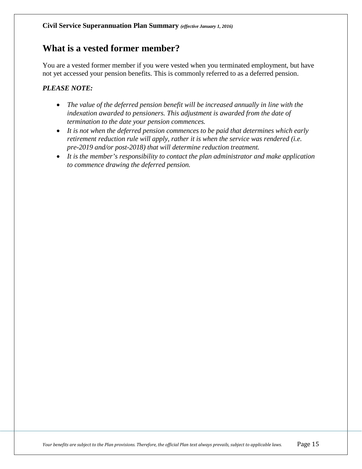### <span id="page-14-0"></span>**What is a vested former member?**

You are a vested former member if you were vested when you terminated employment, but have not yet accessed your pension benefits. This is commonly referred to as a deferred pension.

#### *PLEASE NOTE:*

- *The value of the deferred pension benefit will be increased annually in line with the indexation awarded to pensioners. This adjustment is awarded from the date of termination to the date your pension commences.*
- *It is not when the deferred pension commences to be paid that determines which early retirement reduction rule will apply, rather it is when the service was rendered (i.e. pre-2019 and/or post-2018) that will determine reduction treatment.*
- *It is the member's responsibility to contact the plan administrator and make application to commence drawing the deferred pension.*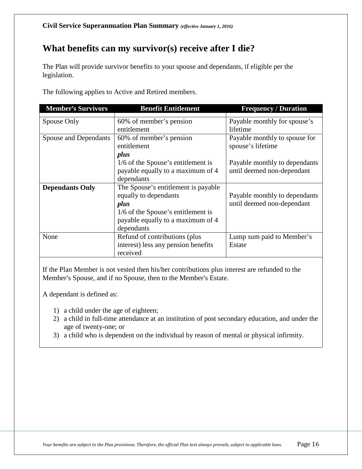# <span id="page-15-0"></span>**What benefits can my survivor(s) receive after I die?**

The Plan will provide survivor benefits to your spouse and dependants, if eligible per the legislation.

The following applies to Active and Retired members.

| <b>Member's Survivors</b>    | <b>Benefit Entitlement</b>           | <b>Frequency / Duration</b>   |
|------------------------------|--------------------------------------|-------------------------------|
| Spouse Only                  | 60% of member's pension              | Payable monthly for spouse's  |
|                              | entitlement                          | lifetime                      |
| <b>Spouse and Dependants</b> | 60% of member's pension              | Payable monthly to spouse for |
|                              | entitlement                          | spouse's lifetime             |
|                              | plus                                 |                               |
|                              | 1/6 of the Spouse's entitlement is   | Payable monthly to dependants |
|                              | payable equally to a maximum of 4    | until deemed non-dependant    |
|                              | dependants                           |                               |
| <b>Dependants Only</b>       | The Spouse's entitlement is payable. |                               |
|                              | equally to dependants                | Payable monthly to dependants |
|                              | plus                                 | until deemed non-dependant    |
|                              | 1/6 of the Spouse's entitlement is   |                               |
|                              | payable equally to a maximum of 4    |                               |
|                              | dependants                           |                               |
| None                         | Refund of contributions (plus        | Lump sum paid to Member's     |
|                              | interest) less any pension benefits  | Estate                        |
|                              | received                             |                               |

If the Plan Member is not vested then his/her contributions plus interest are refunded to the Member's Spouse, and if no Spouse, then to the Member's Estate.

A dependant is defined as:

- 1) a child under the age of eighteen;
- 2) a child in full-time attendance at an institution of post secondary education, and under the age of twenty-one; or
- 3) a child who is dependent on the individual by reason of mental or physical infirmity.